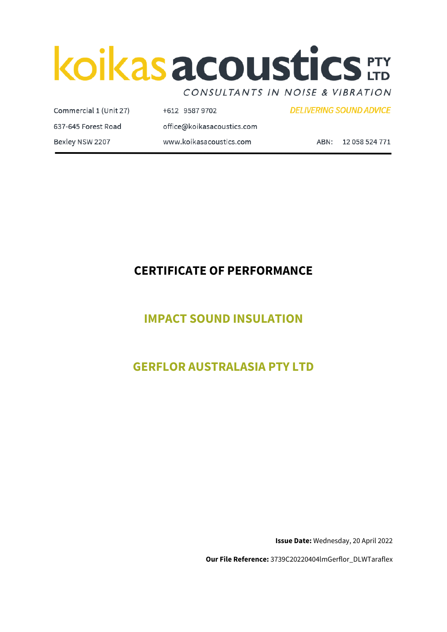# koikas acoustics ETY

CONSULTANTS IN NOISE & VIBRATION

Commercial 1 (Unit 27) +612 9587 9702 **DELIVERING SOUND ADVICE** 637-645 Forest Road office@koikasacoustics.com Bexley NSW 2207 www.koikasacoustics.com ABN: 12 058 524 771

# **CERTIFICATE OF PERFORMANCE**

# **IMPACT SOUND INSULATION**

# **GERFLOR AUSTRALASIA PTY LTD**

**Issue Date:** Wednesday, 20 April 2022

**Our File Reference:** 3739C20220404lmGerflor\_DLWTaraflex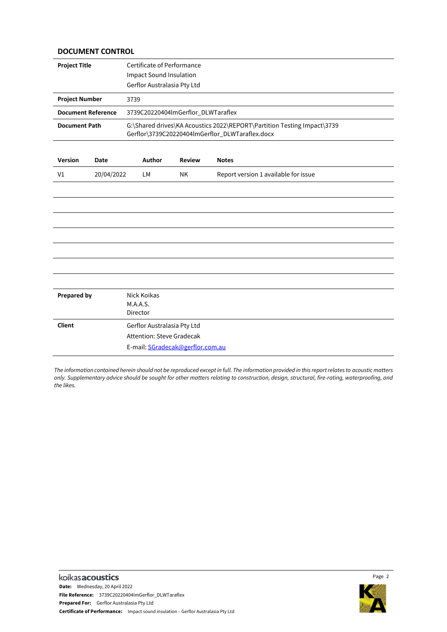#### **DOCUMENT CONTROL**

| <b>Project Title</b>      |            | Certificate of Performance<br><b>Impact Sound Insulation</b><br>Gerflor Australasia Pty Ltd                                |               |                                      |  |  |  |
|---------------------------|------------|----------------------------------------------------------------------------------------------------------------------------|---------------|--------------------------------------|--|--|--|
| <b>Project Number</b>     |            | 3739                                                                                                                       |               |                                      |  |  |  |
| <b>Document Reference</b> |            | 3739C20220404lmGerflor_DLWTaraflex                                                                                         |               |                                      |  |  |  |
| <b>Document Path</b>      |            | G:\Shared drives\KA Acoustics 2022\REPORT\Partition Testing Impact\3739<br>Gerflor\3739C20220404lmGerflor_DLWTaraflex.docx |               |                                      |  |  |  |
| <b>Version</b>            | Date       | Author                                                                                                                     | <b>Review</b> | <b>Notes</b>                         |  |  |  |
| V <sub>1</sub>            | 20/04/2022 | LМ                                                                                                                         | NΚ            | Report version 1 available for issue |  |  |  |
|                           |            |                                                                                                                            |               |                                      |  |  |  |
|                           |            |                                                                                                                            |               |                                      |  |  |  |
|                           |            |                                                                                                                            |               |                                      |  |  |  |
|                           |            |                                                                                                                            |               |                                      |  |  |  |
|                           |            |                                                                                                                            |               |                                      |  |  |  |
|                           |            |                                                                                                                            |               |                                      |  |  |  |
| <b>Prepared by</b>        |            | Nick Koikas<br>M.A.A.S.<br>Director                                                                                        |               |                                      |  |  |  |
| <b>Client</b>             |            | Gerflor Australasia Pty Ltd                                                                                                |               |                                      |  |  |  |
|                           |            | Attention: Steve Gradecak                                                                                                  |               |                                      |  |  |  |
|                           |            | E-mail: SGradecak@gerflor.com.au                                                                                           |               |                                      |  |  |  |

*The information contained herein should not be reproduced except in full. The information provided in this report relates to acoustic matters only. Supplementary advice should be sought for other matters relating to construction, design, structural, fire-rating, waterproofing, and the likes.* 



Page 2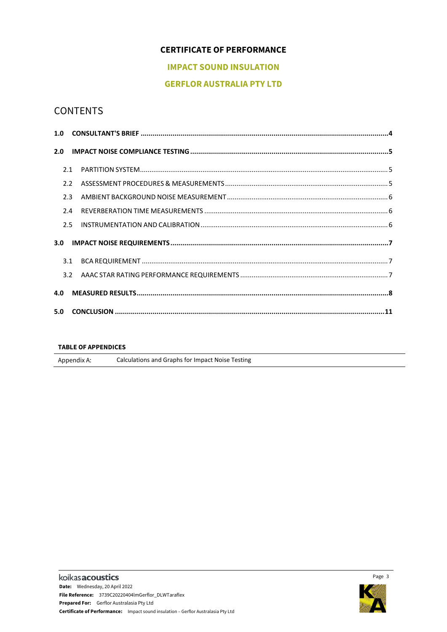# **CERTIFICATE OF PERFORMANCE**

# **IMPACT SOUND INSULATION**

# **GERFLOR AUSTRALIA PTY LTD**

# **CONTENTS**

| 1.0              |               |  |
|------------------|---------------|--|
| 2.0              |               |  |
|                  | 2.1           |  |
|                  | $2.2^{\circ}$ |  |
|                  | 2.3           |  |
|                  | 2.4           |  |
|                  | 2.5           |  |
| 3.0 <sub>2</sub> |               |  |
|                  | 3.1           |  |
|                  | 3.2           |  |
| 4.0              |               |  |
| 5.0              |               |  |

#### **TABLE OF APPENDICES**

Appendix A: Calculations and Graphs for Impact Noise Testing

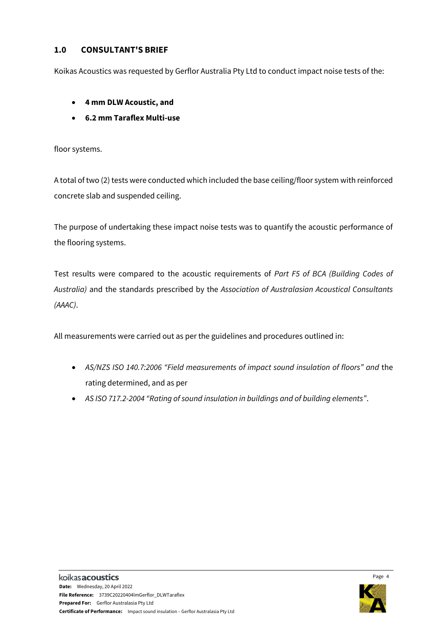# <span id="page-3-0"></span>**1.0 CONSULTANT'S BRIEF**

Koikas Acoustics was requested by Gerflor Australia Pty Ltd to conduct impact noise tests of the:

- **4 mm DLW Acoustic, and**
- **6.2 mm Taraflex Multi-use**

floor systems.

A total of two (2) tests were conducted which included the base ceiling/floor system with reinforced concrete slab and suspended ceiling.

The purpose of undertaking these impact noise tests was to quantify the acoustic performance of the flooring systems.

Test results were compared to the acoustic requirements of *Part F5 of BCA (Building Codes of Australia)* and the standards prescribed by the *Association of Australasian Acoustical Consultants (AAAC)*.

All measurements were carried out as per the guidelines and procedures outlined in:

- *AS/NZS ISO 140.7:2006 "Field measurements of impact sound insulation of floors" and* the rating determined, and as per
- *AS ISO 717.2-2004 "Rating of sound insulation in buildings and of building elements"*.

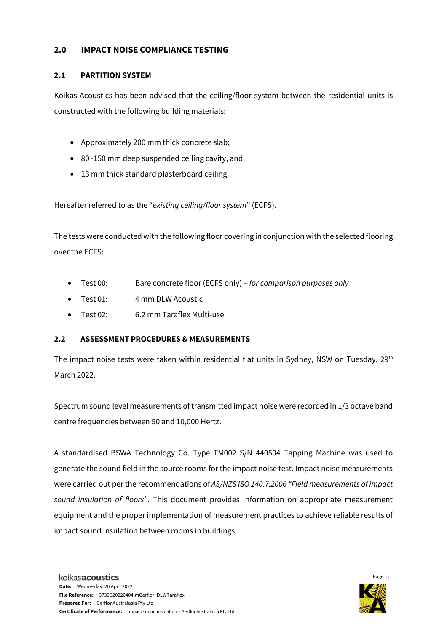# <span id="page-4-0"></span>**2.0 IMPACT NOISE COMPLIANCE TESTING**

### <span id="page-4-1"></span>**2.1 PARTITION SYSTEM**

Koikas Acoustics has been advised that the ceiling/floor system between the residential units is constructed with the following building materials:

- Approximately 200 mm thick concrete slab;
- 80~150 mm deep suspended ceiling cavity, and
- 13 mm thick standard plasterboard ceiling.

Hereafter referred to as the "*existing ceiling/floor system*" (ECFS).

The tests were conducted with the following floor covering in conjunction with the selected flooring over the ECFS:

- Test 00: Bare concrete floor (ECFS only) *for comparison purposes only*
- Test 01: 4 mm DLW Acoustic
- Test 02: 6.2 mm Taraflex Multi-use

# <span id="page-4-2"></span>**2.2 ASSESSMENT PROCEDURES & MEASUREMENTS**

The impact noise tests were taken within residential flat units in Sydney, NSW on Tuesday, 29<sup>th</sup> March 2022.

Spectrum sound level measurements of transmitted impact noise were recorded in 1/3 octave band centre frequencies between 50 and 10,000 Hertz.

A standardised BSWA Technology Co. Type TM002 S/N 440504 Tapping Machine was used to generate the sound field in the source rooms for the impact noise test. Impact noise measurements were carried out per the recommendations of *AS/NZS ISO 140.7:2006 "Field measurements of impact sound insulation of floors"*. This document provides information on appropriate measurement equipment and the proper implementation of measurement practices to achieve reliable results of impact sound insulation between rooms in buildings.

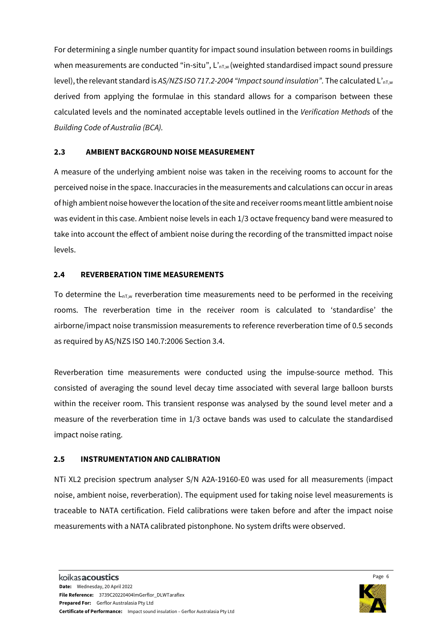For determining a single number quantity for impact sound insulation between rooms in buildings when measurements are conducted "in-situ",  $L_{nTw}$  (weighted standardised impact sound pressure level), the relevant standard is *AS/NZS ISO 717.2-2004 "Impact sound insulation"*. The calculated L'<sub>nT,w</sub> derived from applying the formulae in this standard allows for a comparison between these calculated levels and the nominated acceptable levels outlined in the *Verification Methods* of the *Building Code of Australia (BCA).*

#### <span id="page-5-0"></span>**2.3 AMBIENT BACKGROUND NOISE MEASUREMENT**

A measure of the underlying ambient noise was taken in the receiving rooms to account for the perceived noise in the space. Inaccuracies in the measurements and calculations can occur in areas of high ambient noise however the location of the site and receiver rooms meant little ambient noise was evident in this case. Ambient noise levels in each 1/3 octave frequency band were measured to take into account the effect of ambient noise during the recording of the transmitted impact noise levels.

#### <span id="page-5-1"></span>**2.4 REVERBERATION TIME MEASUREMENTS**

To determine the  $L_{nTw}$  reverberation time measurements need to be performed in the receiving rooms. The reverberation time in the receiver room is calculated to 'standardise' the airborne/impact noise transmission measurements to reference reverberation time of 0.5 seconds as required by AS/NZS ISO 140.7:2006 Section 3.4.

Reverberation time measurements were conducted using the impulse-source method. This consisted of averaging the sound level decay time associated with several large balloon bursts within the receiver room. This transient response was analysed by the sound level meter and a measure of the reverberation time in 1/3 octave bands was used to calculate the standardised impact noise rating.

#### <span id="page-5-2"></span>**2.5 INSTRUMENTATION AND CALIBRATION**

NTi XL2 precision spectrum analyser S/N A2A-19160-E0 was used for all measurements (impact noise, ambient noise, reverberation). The equipment used for taking noise level measurements is traceable to NATA certification. Field calibrations were taken before and after the impact noise measurements with a NATA calibrated pistonphone. No system drifts were observed.

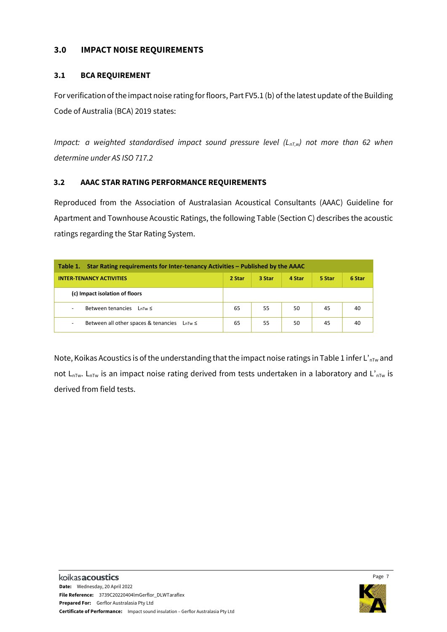# <span id="page-6-0"></span>**3.0 IMPACT NOISE REQUIREMENTS**

# <span id="page-6-1"></span>**3.1 BCA REQUIREMENT**

For verification of the impact noise rating for floors, Part FV5.1 (b) of the latest update of the Building Code of Australia (BCA) 2019 states:

*Impact: a weighted standardised impact sound pressure level (L<sub>nT,w</sub>) not more than 62 when determine under AS ISO 717.2*

# <span id="page-6-2"></span>**3.2 AAAC STAR RATING PERFORMANCE REQUIREMENTS**

Reproduced from the Association of Australasian Acoustical Consultants (AAAC) Guideline for Apartment and Townhouse Acoustic Ratings, the following Table (Section C) describes the acoustic ratings regarding the Star Rating System.

| Star Rating requirements for Inter-tenancy Activities – Published by the AAAC<br>Table 1. |        |        |        |        |        |  |  |  |
|-------------------------------------------------------------------------------------------|--------|--------|--------|--------|--------|--|--|--|
| <b>INTER-TENANCY ACTIVITIES</b>                                                           | 2 Star | 3 Star | 4 Star | 5 Star | 6 Star |  |  |  |
| (c) Impact isolation of floors                                                            |        |        |        |        |        |  |  |  |
| Between tenancies<br>$LnTw \leq$<br>٠                                                     | 65     | 55     | 50     | 45     | 40     |  |  |  |
| Between all other spaces & tenancies<br>LnTw ≤<br>۰                                       | 65     | 55     | 50     | 45     | 40     |  |  |  |

Note, Koikas Acoustics is of the understanding that the impact noise ratings in Table 1 infer L'<sub>nTw</sub> and not  $L_{nTw}$ .  $L_{nTw}$  is an impact noise rating derived from tests undertaken in a laboratory and  $L'_{nTw}$  is derived from field tests.

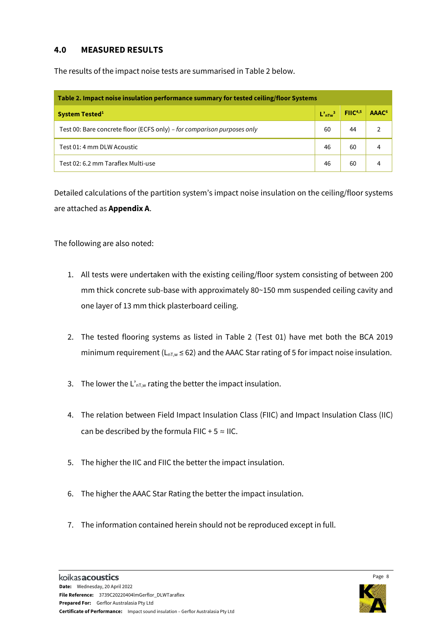# <span id="page-7-0"></span>**4.0 MEASURED RESULTS**

The results of the impact noise tests are summarised in Table 2 below.

| Table 2. Impact noise insulation performance summary for tested ceiling/floor Systems |    |                                                                       |                   |  |  |  |
|---------------------------------------------------------------------------------------|----|-----------------------------------------------------------------------|-------------------|--|--|--|
| <b>System Tested</b> <sup>1</sup>                                                     |    | $\mathbf{L}^{\prime}$ <sub>nTw</sub> <sup>3</sup> FIIC <sup>4,5</sup> | AAAC <sup>6</sup> |  |  |  |
| Test 00: Bare concrete floor (ECFS only) – for comparison purposes only               | 60 | 44                                                                    |                   |  |  |  |
| Test 01: 4 mm DLW Acoustic                                                            | 46 | 60                                                                    |                   |  |  |  |
| Test 02: 6.2 mm Taraflex Multi-use                                                    | 46 | 60                                                                    |                   |  |  |  |

Detailed calculations of the partition system's impact noise insulation on the ceiling/floor systems are attached as **Appendix A**.

The following are also noted:

- 1. All tests were undertaken with the existing ceiling/floor system consisting of between 200 mm thick concrete sub-base with approximately 80~150 mm suspended ceiling cavity and one layer of 13 mm thick plasterboard ceiling.
- 2. The tested flooring systems as listed in Table 2 (Test 01) have met both the BCA 2019 minimum requirement ( $L_{nT,w} \le 62$ ) and the AAAC Star rating of 5 for impact noise insulation.
- 3. The lower the  $L_{nT,w}$  rating the better the impact insulation.
- 4. The relation between Field Impact Insulation Class (FIIC) and Impact Insulation Class (IIC) can be described by the formula FIIC + 5  $\approx$  IIC.
- 5. The higher the IIC and FIIC the better the impact insulation.
- 6. The higher the AAAC Star Rating the better the impact insulation.
- 7. The information contained herein should not be reproduced except in full.

Page 8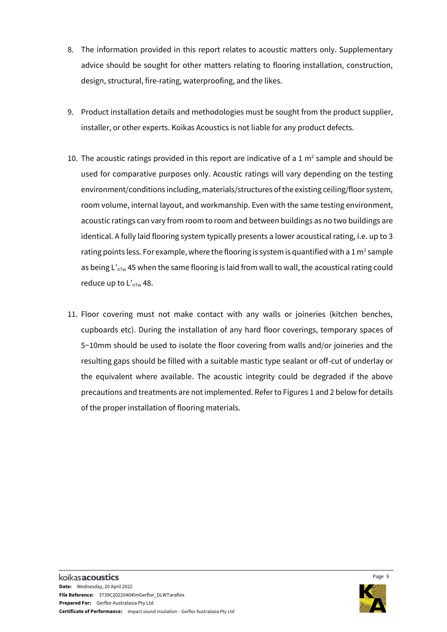- 8. The information provided in this report relates to acoustic matters only. Supplementary advice should be sought for other matters relating to flooring installation, construction, design, structural, fire-rating, waterproofing, and the likes.
- 9. Product installation details and methodologies must be sought from the product supplier, installer, or other experts. Koikas Acoustics is not liable for any product defects.
- 10. The acoustic ratings provided in this report are indicative of a 1  $m<sup>2</sup>$  sample and should be used for comparative purposes only. Acoustic ratings will vary depending on the testing environment/conditions including, materials/structures of the existing ceiling/floor system, room volume, internal layout, and workmanship. Even with the same testing environment, acoustic ratings can vary from room to room and between buildings as no two buildings are identical. A fully laid flooring system typically presents a lower acoustical rating, i.e. up to 3 rating points less. For example, where the flooring is system is quantified with a 1 m<sup>2</sup> sample as being  $L'_{\text{nTw}}$  45 when the same flooring is laid from wall to wall, the acoustical rating could reduce up to  $L'_{nTw}$  48.
- 11. Floor covering must not make contact with any walls or joineries (kitchen benches, cupboards etc). During the installation of any hard floor coverings, temporary spaces of 5~10mm should be used to isolate the floor covering from walls and/or joineries and the resulting gaps should be filled with a suitable mastic type sealant or off-cut of underlay or the equivalent where available. The acoustic integrity could be degraded if the above precautions and treatments are not implemented. Refer to Figures 1 and 2 below for details of the proper installation of flooring materials.

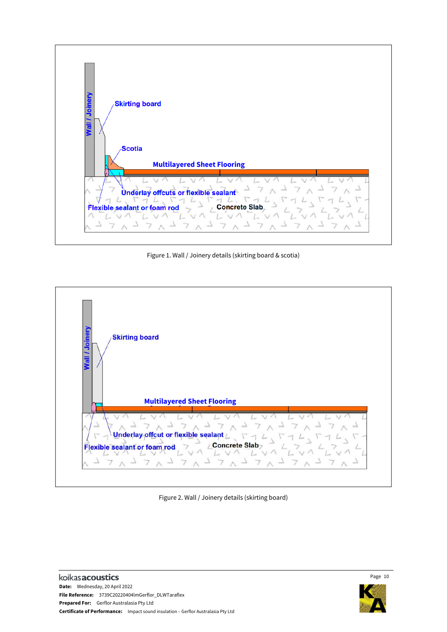

Figure 1. Wall / Joinery details (skirting board & scotia)



Figure 2. Wall / Joinery details (skirting board)



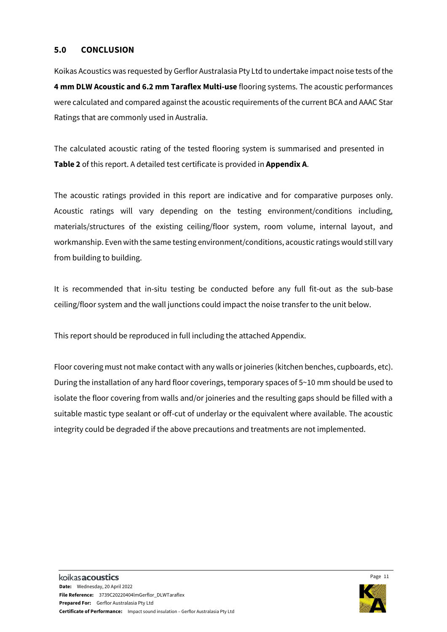#### <span id="page-10-0"></span>**5.0 CONCLUSION**

Koikas Acoustics was requested by Gerflor Australasia Pty Ltd to undertake impact noise tests ofthe **4 mm DLW Acoustic and 6.2 mm Taraflex Multi-use** flooring systems. The acoustic performances were calculated and compared against the acoustic requirements of the current BCA and AAAC Star Ratings that are commonly used in Australia.

The calculated acoustic rating of the tested flooring system is summarised and presented in **Table 2** of this report. A detailed test certificate is provided in **Appendix A**.

The acoustic ratings provided in this report are indicative and for comparative purposes only. Acoustic ratings will vary depending on the testing environment/conditions including, materials/structures of the existing ceiling/floor system, room volume, internal layout, and workmanship. Even with the same testing environment/conditions, acoustic ratings would still vary from building to building.

It is recommended that in-situ testing be conducted before any full fit-out as the sub-base ceiling/floor system and the wall junctions could impact the noise transfer to the unit below.

This report should be reproduced in full including the attached Appendix.

Floor covering must not make contact with any walls or joineries (kitchen benches, cupboards, etc). During the installation of any hard floor coverings, temporary spaces of 5~10 mm should be used to isolate the floor covering from walls and/or joineries and the resulting gaps should be filled with a suitable mastic type sealant or off-cut of underlay or the equivalent where available. The acoustic integrity could be degraded if the above precautions and treatments are not implemented.

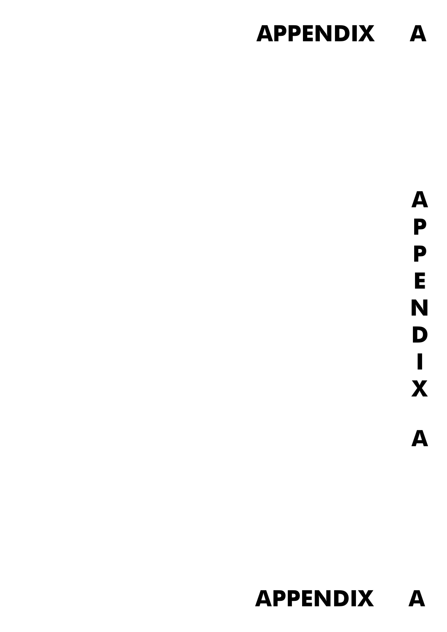# **APPENDIX A**

**A P P E N D I X A**

# **APPENDIX A**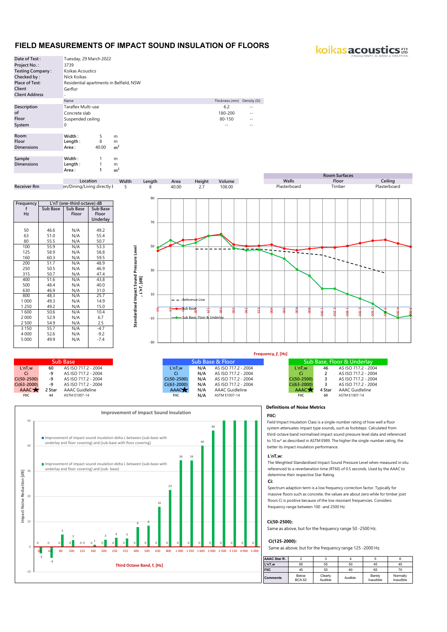#### **FIELD MEASUREMENTS OF IMPACT SOUND INSULATION OF FLOORS**

koikas acoustics :::



-10

| and the contract of the contract of the contract of the contract of the contract of the contract of the contract of |    |                                      |                 |     | $11/7$ $3130/11.2 - 2007$ |                 |                |                        |
|---------------------------------------------------------------------------------------------------------------------|----|--------------------------------------|-----------------|-----|---------------------------|-----------------|----------------|------------------------|
|                                                                                                                     |    | 50-2500) -9 AS ISO 717.2 - 2004      | Ci(50-2500)     |     | N/A AS ISO 717.2 - 2004   | Ci(50-2500)     | $\overline{3}$ | AS ISO 717.2 - 2       |
|                                                                                                                     |    | 63-2000) -9 AS ISO 717.2 - 2004      | $Ci(63 - 2000)$ |     | N/A AS ISO 717.2 - 2004   | $Ci(63-2000)$ 3 |                | AS ISO 717.2 - 2       |
|                                                                                                                     |    | AAAC <b>x</b> 2 Star AAAC Guidleline | <b>AAACT</b>    | N/A | AAAC Guidleline           | <b>AAAC</b>     |                | 4 Star AAAC Guidleline |
| <b>FIIC</b>                                                                                                         | 44 | ASTM E1007-14                        | <b>FIIC</b>     | N/A | ASTM E1007-14             | <b>FIIC</b>     | 60             | ASTM E1007-14          |
|                                                                                                                     |    |                                      |                 |     |                           |                 |                |                        |
|                                                                                                                     |    |                                      |                 |     |                           |                 |                |                        |

#### **Improvement of Impact Sound Insulation** 50 46 Improvement of impact sound insulation delta L between (sub-base with underlay and floor covering) and (sub-base with floor covering) 40  $40$ 34 34 Improvement of impact sound insulation delta L between (sub-base with underlay and floor covering) and (sub- base) $\overline{30}$ Impact Noise Reduction [dB] **Impact Noise Reduction [dB]**  $2<sub>2</sub>$ 20 16 10 <sup>8</sup> <sup>8</sup> 5  $3 \qquad 4 \qquad 3$ 3  $00001$ 0 0 0 0 0 0 0 0 0 0 0 0 0 0 0 0 0 0 0 0 0  $\overline{0}$ 50 63 80 100 125 160 200 250 315 400 500 630 800 1 000 1 250 1 600 2 000 2 500 3 150 4 000 5 000 -3 -4 **Third Octave Band, f, [Hz]**

#### **Definitions of Noise Metrics**

**FIIC:** 

Field Impact Insulation Class is a single-number rating of how well a floor system attenuates impact type sounds, such as footsteps. Calculated from third-octave band normalised impact sound pressure level data and referenced to 10 m<sup>2</sup> as described in ASTM E989. The higher the single-number rating, the better its impact insulation performance.

#### **L'nT,w:**

The Weighted Standardised Impact Sound Pressure Level when measured in situ referenced to a reverberation time (RT60) of 0.5 seconds. Used by the AAAC to determine their respective Star Rating.

#### **Ci:**

Spectrum adaption term is a low frequency correction factor. Typically for massive floors such as concrete, the values are about zero while for timber joist floors Ci is positive because of the low resonant frequencies. Considers frequency range between 100 -and 2500 Hz.

#### **Ci(50-2500):**

Same as above, but for the frequency range 50 -2500 Hz.

#### **Ci(125-2000):**

Same as above, but for the frequency range 125 -2000 Hz.

| <b>AAAC Star R.</b> |                        |                    |         |                     |                       |
|---------------------|------------------------|--------------------|---------|---------------------|-----------------------|
| L'nT.w              | 65                     | 55                 | 50      | 45                  | 40                    |
| <b>FIIC</b>         | 45                     | 55                 | 60      | 65                  | 70                    |
| <b>Comments</b>     | Below<br><b>BCA 62</b> | Clearly<br>Audible | Audible | Barely<br>Inaudible | Normally<br>Inaudible |